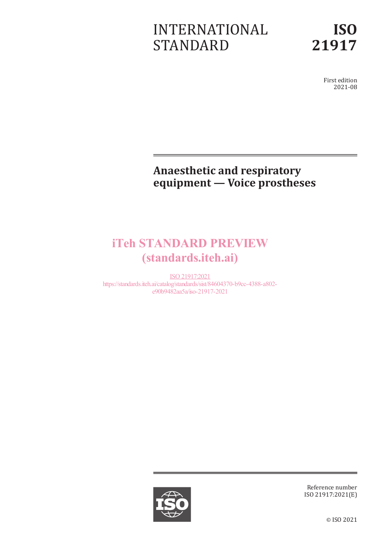# INTERNATIONAL STANDARD



First edition 2021-08

## **Anaesthetic and respiratory equipment — Voice prostheses**

# iTeh STANDARD PREVIEW (standards.iteh.ai)

ISO 21917:2021 https://standards.iteh.ai/catalog/standards/sist/84604370-b9cc-4388-a802 e90b9482aa5a/iso-21917-2021



Reference number ISO 21917:2021(E)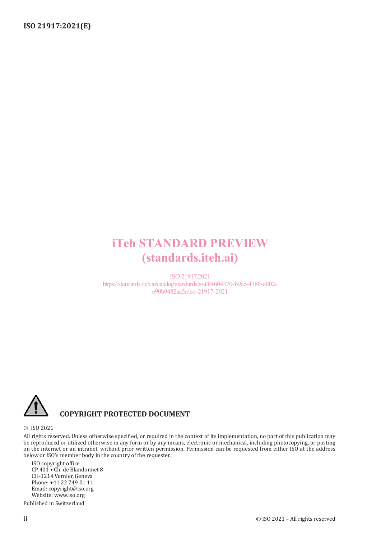# iTeh STANDARD PREVIEW (standards.iteh.ai)

ISO 21917:2021 https://standards.iteh.ai/catalog/standards/sist/84604370-b9cc-4388-a802 e90b9482aa5a/iso-21917-2021



#### **COPYRIGHT PROTECTED DOCUMENT**

#### © ISO 2021

All rights reserved. Unless otherwise specified, or required in the context of its implementation, no part of this publication may be reproduced or utilized otherwise in any form or by any means, electronic or mechanical, including photocopying, or posting on the internet or an intranet, without prior written permission. Permission can be requested from either ISO at the address below or ISO's member body in the country of the requester.

ISO copyright office CP 401 • Ch. de Blandonnet 8 CH-1214 Vernier, Geneva Phone: +41 22 749 01 11 Email: copyright@iso.org Website: www.iso.org Published in Switzerland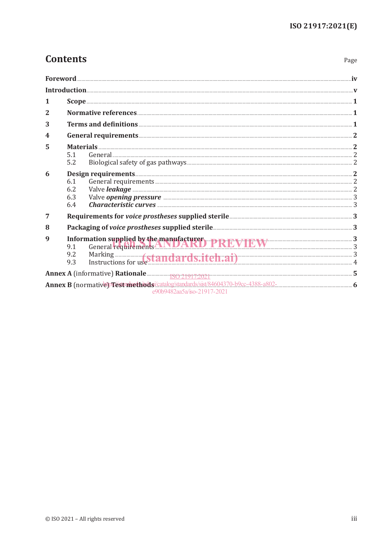Page

### **Contents**

| 1 |                                                             | $\textbf{Scope} \texttt{} \texttt{} \texttt{} \texttt{} \texttt{1}$                                                                                                         |  |
|---|-------------------------------------------------------------|-----------------------------------------------------------------------------------------------------------------------------------------------------------------------------|--|
| 2 |                                                             |                                                                                                                                                                             |  |
| 3 | Terms and definitions <b>Executive Executive Contract 1</b> |                                                                                                                                                                             |  |
| 4 |                                                             |                                                                                                                                                                             |  |
| 5 | 5.1<br>5.2                                                  |                                                                                                                                                                             |  |
| 6 | 6.1<br>6.2<br>6.3<br>6.4                                    | Valve leakage <b>Election</b> 2<br>Valve opening pressure <b>Exercise Construction</b> 3<br>Characteristic curves <b>Election Construction and Service Characteristic</b> 3 |  |
| 7 |                                                             |                                                                                                                                                                             |  |
| 8 |                                                             |                                                                                                                                                                             |  |
| 9 | 9.2<br>9.3                                                  | 1nformation supplied by the manufacturer PREVIEW 33<br>Marking Instructions for use standards.itch.ai) 3                                                                    |  |
|   |                                                             |                                                                                                                                                                             |  |
|   |                                                             | Annex B (normative) Test methods vcatalog/standards/sist/84604370-b9cc-4388-a802-<br>e90b9482aa5a/iso-21917-2021                                                            |  |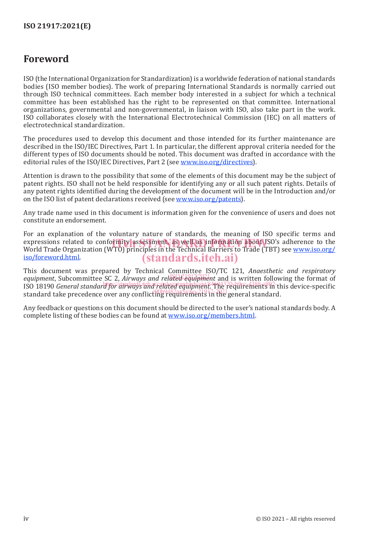### **Foreword**

ISO (the International Organization for Standardization) is a worldwide federation of national standards bodies (ISO member bodies). The work of preparing International Standards is normally carried out through ISO technical committees. Each member body interested in a subject for which a technical committee has been established has the right to be represented on that committee. International organizations, governmental and non-governmental, in liaison with ISO, also take part in the work. ISO collaborates closely with the International Electrotechnical Commission (IEC) on all matters of electrotechnical standardization.

The procedures used to develop this document and those intended for its further maintenance are described in the ISO/IEC Directives, Part 1. In particular, the different approval criteria needed for the different types of ISO documents should be noted. This document was drafted in accordance with the editorial rules of the ISO/IEC Directives, Part 2 (see www.iso.org/directives).

Attention is drawn to the possibility that some of the elements of this document may be the subject of patent rights. ISO shall not be held responsible for identifying any or all such patent rights. Details of any patent rights identified during the development of the document will be in the Introduction and/or on the ISO list of patent declarations received (see www.iso.org/patents).

Any trade name used in this document is information given for the convenience of users and does not constitute an endorsement.

For an explanation of the voluntary nature of standards, the meaning of ISO specific terms and expressions related to conformity assessment, as well as information about ISO's adherence to the<br>World Trade Organization (WTO) principles in the Technical Barriers to Trade (TBT) see www.iso.org/ World Trade Organization (WTO) principles in the Technical Barriers to Trade (TBT) see www.iso.org/ iso/foreword.html. (standards.iteh.ai)

This document was prepared by Technical Committee ISO/TC 121, *Anaesthetic and respiratory equipment*, Subcommittee SC 2, *Airways and related equipment* and is written following the format of equipment, experimented by airways and related equipment. The requirements in this device-specific standard take precedence over any conflicting requirements in the general standard.

Any feedback or questions on this document should be directed to the user's national standards body. A complete listing of these bodies can be found at www.iso.org/members.html.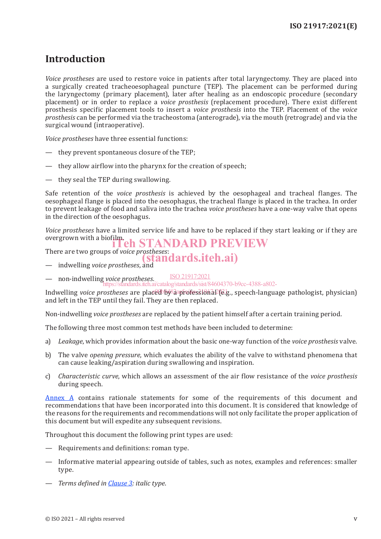### **Introduction**

*Voice prostheses* are used to restore voice in patients after total laryngectomy. They are placed into a surgically created tracheoesophageal puncture (TEP). The placement can be performed during the laryngectomy (primary placement), later after healing as an endoscopic procedure (secondary placement) or in order to replace a *voice prosthesis* (replacement procedure). There exist different prosthesis specific placement tools to insert a *voice prosthesis* into the TEP. Placement of the *voice prosthesis* can be performed via the tracheostoma (anterograde), via the mouth (retrograde) and via the surgical wound (intraoperative).

*Voice prostheses* have three essential functions:

- they prevent spontaneous closure of the TEP;
- they allow airflow into the pharynx for the creation of speech;
- they seal the TEP during swallowing.

Safe retention of the *voice prosthesis* is achieved by the oesophageal and tracheal flanges. The oesophageal flange is placed into the oesophagus, the tracheal flange is placed in the trachea. In order to prevent leakage of food and saliva into the trachea *voice prostheses* have a one-way valve that opens in the direction of the oesophagus.

*Voice prostheses* have a limited service life and have to be replaced if they start leaking or if they are overgrown with a biofilm.<br> **Example 12** Teh STANDARD PREVIEW

There are two groups of *voice prostheses*:<br> **(standards.iteh.ai)** 

- indwelling *voice prostheses*, and
- ISO 21917:2021

— non-indwelling *voice prostheses.* https://standards.iteh.ai/catalog/standards/sist/84604370-b9cc-4388-a802-

Indwelling *voice prostheses* are placed by approfessional (e.g., speech-language pathologist, physician) and left in the TEP until they fail. They are then replaced.

Non-indwelling *voice prostheses* are replaced by the patient himself after a certain training period.

The following three most common test methods have been included to determine:

- a) *Leakage*, which provides information about the basic one-way function of the *voice prosthesis* valve.
- b) The valve *opening pressure*, which evaluates the ability of the valve to withstand phenomena that can cause leaking/aspiration during swallowing and inspiration.
- c) *Characteristic curve*, which allows an assessment of the air flow resistance of the *voice prosthesis* during speech.

Annex A contains rationale statements for some of the requirements of this document and recommendations that have been incorporated into this document. It is considered that knowledge of the reasons for the requirements and recommendations will not only facilitate the proper application of this document but will expedite any subsequent revisions.

Throughout this document the following print types are used:

- Requirements and definitions: roman type.
- Informative material appearing outside of tables, such as notes, examples and references: smaller type.
- *Terms defined in Clause 3: italic type*.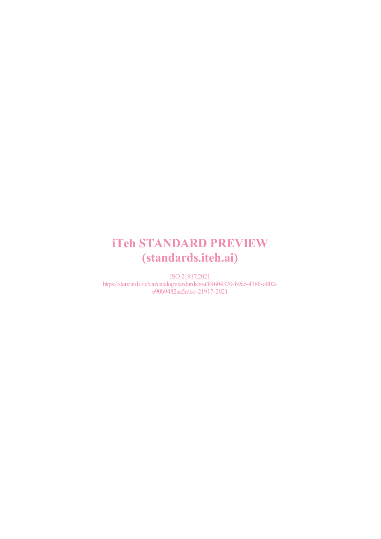# iTeh STANDARD PREVIEW (standards.iteh.ai)

ISO 21917:2021 https://standards.iteh.ai/catalog/standards/sist/84604370-b9cc-4388-a802 e90b9482aa5a/iso-21917-2021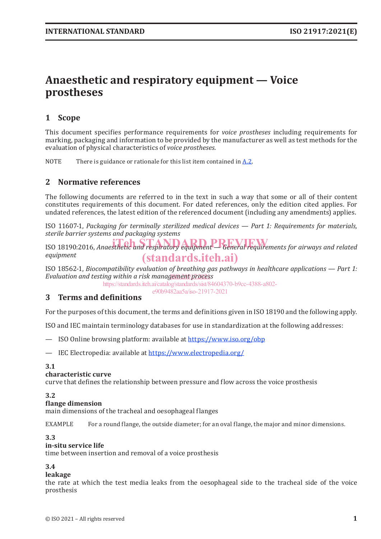### **Anaesthetic and respiratory equipment — Voice prostheses**

#### **1 Scope**

This document specifies performance requirements for *voice prostheses* including requirements for marking, packaging and information to be provided by the manufacturer as well as test methods for the evaluation of physical characteristics of *voice prostheses*.

NOTE There is guidance or rationale for this list item contained in  $A.2$ .

#### **2 Normative references**

The following documents are referred to in the text in such a way that some or all of their content constitutes requirements of this document. For dated references, only the edition cited applies. For undated references, the latest edition of the referenced document (including any amendments) applies.

ISO 11607-1, *Packaging for terminally sterilized medical devices — Part 1: Requirements for materials, sterile barrier systems and packaging systems*

ISO 18190:2016, *Anaesthetic and respiratory equipment* — General requirements for airways and related *equipment* (standards.iteh.ai)

ISO 18562-1, *Biocompatibility evaluation of breathing gas pathways in healthcare applications — Part 1:*  Evaluation and testing within a risk management process

https://standards.iteh.ai/catalog/standards/sist/84604370-b9cc-4388-a802-

e90b9482aa5a/iso-21917-2021

#### **3 Terms and definitions**

For the purposes of this document, the terms and definitions given in ISO 18190 and the following apply.

ISO and IEC maintain terminology databases for use in standardization at the following addresses:

— ISO Online browsing platform: available at https://www.iso.org/obp

— IEC Electropedia: available at https://www.electropedia.org/

#### **3.1**

#### **characteristic curve**

curve that defines the relationship between pressure and flow across the voice prosthesis

#### **3.2**

#### **flange dimension**

main dimensions of the tracheal and oesophageal flanges

EXAMPLE For a round flange, the outside diameter; for an oval flange, the major and minor dimensions.

#### **3.3**

#### **in-situ service life**

time between insertion and removal of a voice prosthesis

#### **3.4**

#### **leakage**

the rate at which the test media leaks from the oesophageal side to the tracheal side of the voice prosthesis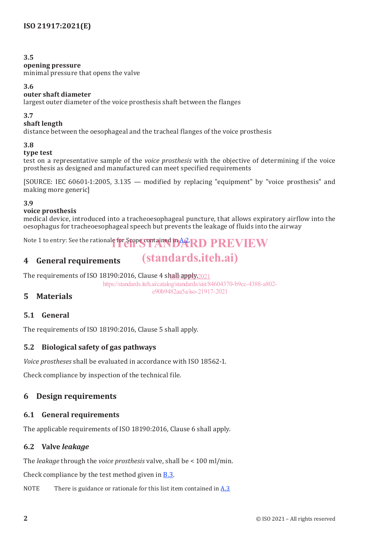#### **3.5**

#### **opening pressure**

minimal pressure that opens the valve

#### **3.6**

#### **outer shaft diameter**

largest outer diameter of the voice prosthesis shaft between the flanges

#### **3.7**

#### **shaft length**

distance between the oesophageal and the tracheal flanges of the voice prosthesis

#### **3.8**

#### **type test**

test on a representative sample of the *voice prosthesis* with the objective of determining if the voice prosthesis as designed and manufactured can meet specified requirements

[SOURCE: IEC 60601-1:2005, 3.135 — modified by replacing "equipment" by "voice prosthesis" and making more generic]

#### **3.9**

#### **voice prosthesis**

medical device, introduced into a tracheoesophageal puncture, that allows expiratory airflow into the oesophagus for tracheoesophageal speech but prevents the leakage of fluids into the airway

Note 1 to entry: See the rationale for Scope contained in A2RD PREVIEW

#### **4 General requirements**

# (standards.iteh.ai)

The requirements of ISO 18190:2016, Clause 4 shall apply.2021

https://standards.iteh.ai/catalog/standards/sist/84604370-b9cc-4388-a802 e90b9482aa5a/iso-21917-2021

#### **5 Materials**

#### **5.1 General**

The requirements of ISO 18190:2016, Clause 5 shall apply.

#### **5.2 Biological safety of gas pathways**

*Voice prostheses* shall be evaluated in accordance with ISO 18562-1.

Check compliance by inspection of the technical file.

#### **6 Design requirements**

#### **6.1 General requirements**

The applicable requirements of ISO 18190:2016, Clause 6 shall apply.

#### **6.2 Valve** *leakage*

The *leakage* through the *voice prosthesis* valve, shall be < 100 ml/min.

Check compliance by the test method given in  $B.3$ .

NOTE There is guidance or rationale for this list item contained in A.3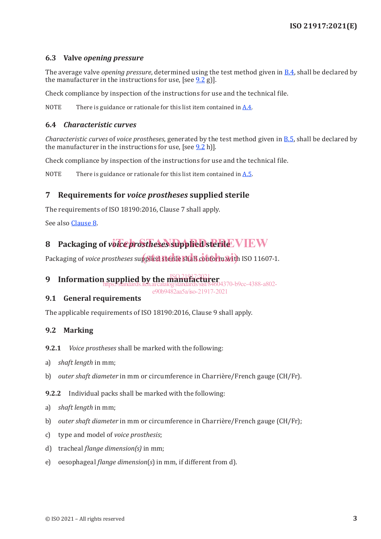#### **6.3 Valve** *opening pressure*

The average valve *opening pressure*, determined using the test method given in B.4, shall be declared by the manufacturer in the instructions for use, [see  $9.2$  g]].

Check compliance by inspection of the instructions for use and the technical file.

NOTE There is guidance or rationale for this list item contained in  $A.4$ .

#### **6.4** *Characteristic curves*

*Characteristic curves* of *voice prostheses*, generated by the test method given in B.5, shall be declared by the manufacturer in the instructions for use, [see 9.2 h)].

Check compliance by inspection of the instructions for use and the technical file.

NOTE There is guidance or rationale for this list item contained in  $A.5$ .

#### **7 Requirements for** *voice prostheses* **supplied sterile**

The requirements of ISO 18190:2016, Clause 7 shall apply.

See also Clause 8.

# 8 Packaging of *voice prostheses* supplied sterile VIEW

Packaging of *voice prostheses* su**pplied sterile shall conform wit**h ISO 11607-1.

#### **9** Information supplied by the manufacturer https://standards.iteh.ai/catalog/standards/sist/84604370-b9cc-4388-a802-

e90b9482aa5a/iso-21917-2021

#### **9.1 General requirements**

The applicable requirements of ISO 18190:2016, Clause 9 shall apply.

#### **9.2 Marking**

**9.2.1** *Voice prostheses* shall be marked with the following:

- a) *shaft length* in mm;
- b) *outer shaft diameter* in mm or circumference in Charrière/French gauge (CH/Fr).

**9.2.2** Individual packs shall be marked with the following:

a) *shaft length* in mm;

- b) *outer shaft diameter* in mm or circumference in Charrière/French gauge (CH/Fr);
- c) type and model of *voice prosthesis*;
- d) tracheal *flange dimension(s)* in mm;
- e) oesophageal *flange dimension*(*s*) in mm, if different from d).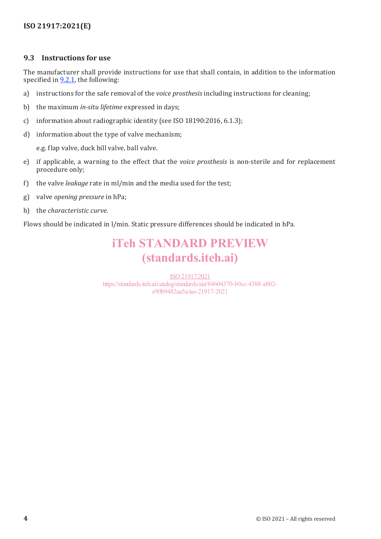#### **9.3 Instructions for use**

The manufacturer shall provide instructions for use that shall contain, in addition to the information specified in  $9.2.1$ , the following:

- a) instructions for the safe removal of the *voice prosthesis* including instructions for cleaning;
- b) the maximum *in-situ lifetime* expressed in days;
- c) information about radiographic identity (see ISO 18190:2016, 6.1.3);
- d) information about the type of valve mechanism;

e.g. flap valve, duck bill valve, ball valve.

- e) if applicable, a warning to the effect that the *voice prosthesis* is non-sterile and for replacement procedure only;
- f) the valve *leakage* rate in ml/min and the media used for the test;
- g) valve *opening pressure* in hPa;
- h) the *characteristic curve*.

Flows should be indicated in l/min. Static pressure differences should be indicated in hPa.

## iTeh STANDARD PREVIEW (standards.iteh.ai)

ISO 21917:2021 https://standards.iteh.ai/catalog/standards/sist/84604370-b9cc-4388-a802 e90b9482aa5a/iso-21917-2021